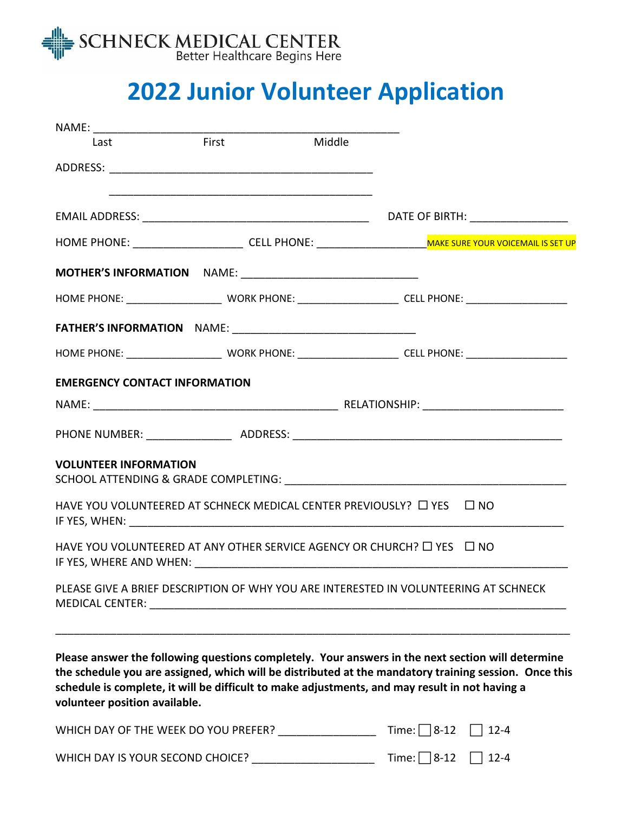

# **2022 Junior Volunteer Application**

| Last                                                                                                                                                                                                                                                                                                                                          | <b>First</b> | Middle |                   |                                                                                                                                                                                                                               |
|-----------------------------------------------------------------------------------------------------------------------------------------------------------------------------------------------------------------------------------------------------------------------------------------------------------------------------------------------|--------------|--------|-------------------|-------------------------------------------------------------------------------------------------------------------------------------------------------------------------------------------------------------------------------|
|                                                                                                                                                                                                                                                                                                                                               |              |        |                   |                                                                                                                                                                                                                               |
|                                                                                                                                                                                                                                                                                                                                               |              |        |                   |                                                                                                                                                                                                                               |
|                                                                                                                                                                                                                                                                                                                                               |              |        |                   | DATE OF BIRTH: New York Contract Contract Contract Contract Contract Contract Contract Contract Contract Contract Contract Contract Contract Contract Contract Contract Contract Contract Contract Contract Contract Contract |
|                                                                                                                                                                                                                                                                                                                                               |              |        |                   |                                                                                                                                                                                                                               |
| <b>MOTHER'S INFORMATION</b> NAME: __________________________________                                                                                                                                                                                                                                                                          |              |        |                   |                                                                                                                                                                                                                               |
|                                                                                                                                                                                                                                                                                                                                               |              |        |                   |                                                                                                                                                                                                                               |
|                                                                                                                                                                                                                                                                                                                                               |              |        |                   |                                                                                                                                                                                                                               |
|                                                                                                                                                                                                                                                                                                                                               |              |        |                   |                                                                                                                                                                                                                               |
| <b>EMERGENCY CONTACT INFORMATION</b>                                                                                                                                                                                                                                                                                                          |              |        |                   |                                                                                                                                                                                                                               |
|                                                                                                                                                                                                                                                                                                                                               |              |        |                   |                                                                                                                                                                                                                               |
|                                                                                                                                                                                                                                                                                                                                               |              |        |                   |                                                                                                                                                                                                                               |
| <b>VOLUNTEER INFORMATION</b>                                                                                                                                                                                                                                                                                                                  |              |        |                   |                                                                                                                                                                                                                               |
| HAVE YOU VOLUNTEERED AT SCHNECK MEDICAL CENTER PREVIOUSLY? □ YES □ NO                                                                                                                                                                                                                                                                         |              |        |                   |                                                                                                                                                                                                                               |
| HAVE YOU VOLUNTEERED AT ANY OTHER SERVICE AGENCY OR CHURCH? □ YES □ NO                                                                                                                                                                                                                                                                        |              |        |                   |                                                                                                                                                                                                                               |
| PLEASE GIVE A BRIEF DESCRIPTION OF WHY YOU ARE INTERESTED IN VOLUNTEERING AT SCHNECK                                                                                                                                                                                                                                                          |              |        |                   |                                                                                                                                                                                                                               |
| Please answer the following questions completely. Your answers in the next section will determine<br>the schedule you are assigned, which will be distributed at the mandatory training session. Once this<br>schedule is complete, it will be difficult to make adjustments, and may result in not having a<br>volunteer position available. |              |        |                   |                                                                                                                                                                                                                               |
| WHICH DAY OF THE WEEK DO YOU PREFER? __________________                                                                                                                                                                                                                                                                                       |              |        | Time: $\Box$ 8-12 | $12 - 4$                                                                                                                                                                                                                      |
| WHICH DAY IS YOUR SECOND CHOICE?                                                                                                                                                                                                                                                                                                              |              |        | Time: $\Box$ 8-12 | $12 - 4$                                                                                                                                                                                                                      |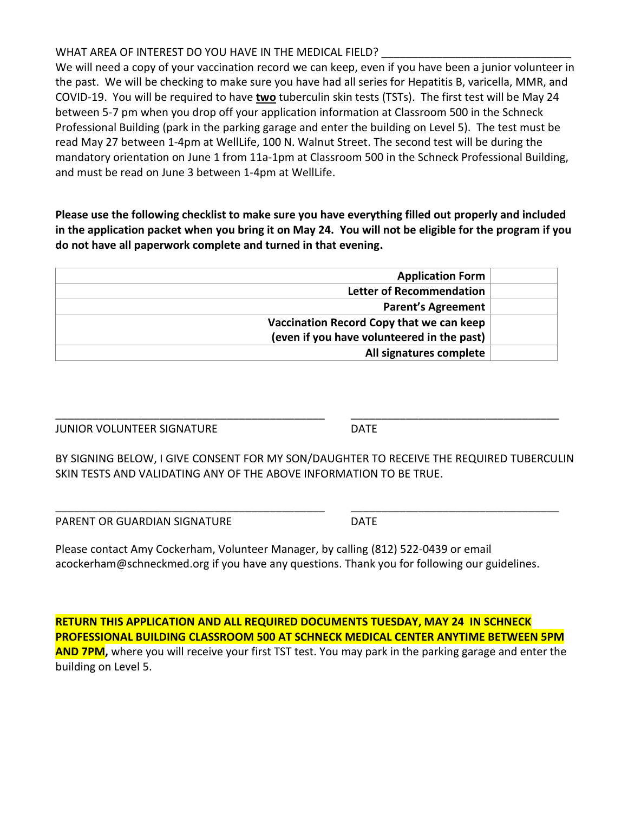#### WHAT AREA OF INTEREST DO YOU HAVE IN THE MEDICAL FIELD?

We will need a copy of your vaccination record we can keep, even if you have been a junior volunteer in the past. We will be checking to make sure you have had all series for Hepatitis B, varicella, MMR, and COVID-19. You will be required to have **two** tuberculin skin tests (TSTs). The first test will be May 24 between 5-7 pm when you drop off your application information at Classroom 500 in the Schneck Professional Building (park in the parking garage and enter the building on Level 5). The test must be read May 27 between 1-4pm at WellLife, 100 N. Walnut Street. The second test will be during the mandatory orientation on June 1 from 11a-1pm at Classroom 500 in the Schneck Professional Building, and must be read on June 3 between 1-4pm at WellLife.

**Please use the following checklist to make sure you have everything filled out properly and included in the application packet when you bring it on May 24. You will not be eligible for the program if you do not have all paperwork complete and turned in that evening.**

| <b>Application Form</b>                    |  |  |  |
|--------------------------------------------|--|--|--|
| <b>Letter of Recommendation</b>            |  |  |  |
| <b>Parent's Agreement</b>                  |  |  |  |
| Vaccination Record Copy that we can keep   |  |  |  |
| (even if you have volunteered in the past) |  |  |  |
| All signatures complete                    |  |  |  |
|                                            |  |  |  |

JUNIOR VOLUNTEER SIGNATURE DATE

\_\_\_\_\_\_\_\_\_\_\_\_\_\_\_\_\_\_\_\_\_\_\_\_\_\_\_\_\_\_\_\_\_\_\_\_\_\_\_\_\_\_\_\_ \_\_\_\_\_\_\_\_\_\_\_\_\_\_\_\_\_\_\_\_\_\_\_\_\_\_\_\_\_\_\_\_\_\_

BY SIGNING BELOW, I GIVE CONSENT FOR MY SON/DAUGHTER TO RECEIVE THE REQUIRED TUBERCULIN SKIN TESTS AND VALIDATING ANY OF THE ABOVE INFORMATION TO BE TRUE.

\_\_\_\_\_\_\_\_\_\_\_\_\_\_\_\_\_\_\_\_\_\_\_\_\_\_\_\_\_\_\_\_\_\_\_\_\_\_\_\_\_\_\_\_ \_\_\_\_\_\_\_\_\_\_\_\_\_\_\_\_\_\_\_\_\_\_\_\_\_\_\_\_\_\_\_\_\_\_

PARENT OR GUARDIAN SIGNATURE **Example 20 SIGNATURE** 

Please contact Amy Cockerham, Volunteer Manager, by calling (812) 522-0439 or email acockerham@schneckmed.org if you have any questions. Thank you for following our guidelines.

**RETURN THIS APPLICATION AND ALL REQUIRED DOCUMENTS TUESDAY, MAY 24 IN SCHNECK PROFESSIONAL BUILDING CLASSROOM 500 AT SCHNECK MEDICAL CENTER ANYTIME BETWEEN 5PM AND 7PM,** where you will receive your first TST test. You may park in the parking garage and enter the building on Level 5.